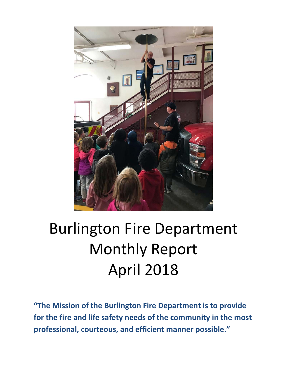

# Burlington Fire Department Monthly Report April 2018

**"The Mission of the Burlington Fire Department is to provide for the fire and life safety needs of the community in the most professional, courteous, and efficient manner possible."**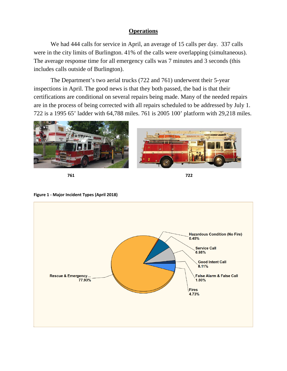#### **Operations**

We had 444 calls for service in April, an average of 15 calls per day. 337 calls were in the city limits of Burlington. 41% of the calls were overlapping (simultaneous). The average response time for all emergency calls was 7 minutes and 3 seconds (this includes calls outside of Burlington).

The Department's two aerial trucks (722 and 761) underwent their 5-year inspections in April. The good news is that they both passed, the bad is that their certifications are conditional on several repairs being made. Many of the needed repairs are in the process of being corrected with all repairs scheduled to be addressed by July 1. 722 is a 1995 65' ladder with 64,788 miles. 761 is 2005 100' platform with 29,218 miles.



**761 722**



**Figure 1 - Major Incident Types (April 2018)**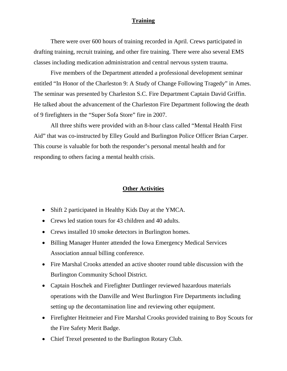#### **Training**

There were over 600 hours of training recorded in April. Crews participated in drafting training, recruit training, and other fire training. There were also several EMS classes including medication administration and central nervous system trauma.

Five members of the Department attended a professional development seminar entitled "In Honor of the Charleston 9: A Study of Change Following Tragedy" in Ames. The seminar was presented by Charleston S.C. Fire Department Captain David Griffin. He talked about the advancement of the Charleston Fire Department following the death of 9 firefighters in the "Super Sofa Store" fire in 2007.

All three shifts were provided with an 8-hour class called "Mental Health First Aid" that was co-instructed by Elley Gould and Burlington Police Officer Brian Carper. This course is valuable for both the responder's personal mental health and for responding to others facing a mental health crisis.

#### **Other Activities**

- Shift 2 participated in Healthy Kids Day at the YMCA.
- Crews led station tours for 43 children and 40 adults.
- Crews installed 10 smoke detectors in Burlington homes.
- Billing Manager Hunter attended the Iowa Emergency Medical Services Association annual billing conference.
- Fire Marshal Crooks attended an active shooter round table discussion with the Burlington Community School District.
- Captain Hoschek and Firefighter Duttlinger reviewed hazardous materials operations with the Danville and West Burlington Fire Departments including setting up the decontamination line and reviewing other equipment.
- Firefighter Heitmeier and Fire Marshal Crooks provided training to Boy Scouts for the Fire Safety Merit Badge.
- Chief Trexel presented to the Burlington Rotary Club.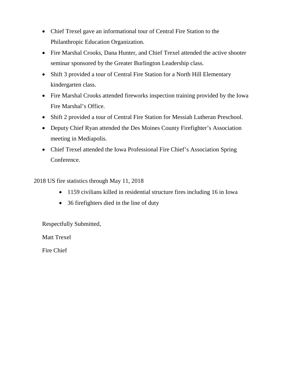- Chief Trexel gave an informational tour of Central Fire Station to the Philanthropic Education Organization.
- Fire Marshal Crooks, Dana Hunter, and Chief Trexel attended the active shooter seminar sponsored by the Greater Burlington Leadership class.
- Shift 3 provided a tour of Central Fire Station for a North Hill Elementary kindergarten class.
- Fire Marshal Crooks attended fireworks inspection training provided by the Iowa Fire Marshal's Office.
- Shift 2 provided a tour of Central Fire Station for Messiah Lutheran Preschool.
- Deputy Chief Ryan attended the Des Moines County Firefighter's Association meeting in Mediapolis.
- Chief Trexel attended the Iowa Professional Fire Chief's Association Spring Conference.

2018 US fire statistics through May 11, 2018

- 1159 civilians killed in residential structure fires including 16 in Iowa
- 36 firefighters died in the line of duty

Respectfully Submitted,

Matt Trexel

Fire Chief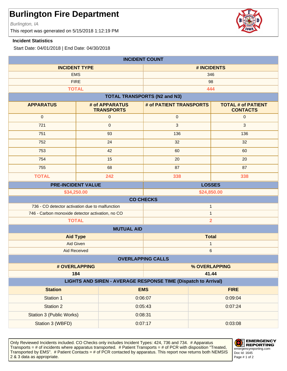Burlington, IA

This report was generated on 5/15/2018 1:12:19 PM

#### **Incident Statistics**

Start Date: 04/01/2018 | End Date: 04/30/2018

| <b>INCIDENT COUNT</b>                                                                 |                                     |                                     |                                              |  |
|---------------------------------------------------------------------------------------|-------------------------------------|-------------------------------------|----------------------------------------------|--|
| <b>INCIDENT TYPE</b>                                                                  |                                     |                                     | # INCIDENTS                                  |  |
| <b>EMS</b>                                                                            |                                     |                                     | 346                                          |  |
| <b>FIRE</b>                                                                           |                                     |                                     | 98                                           |  |
| <b>TOTAL</b>                                                                          |                                     |                                     | 444                                          |  |
|                                                                                       |                                     | <b>TOTAL TRANSPORTS (N2 and N3)</b> |                                              |  |
| <b>APPARATUS</b>                                                                      | # of APPARATUS<br><b>TRANSPORTS</b> | # of PATIENT TRANSPORTS             | <b>TOTAL # of PATIENT</b><br><b>CONTACTS</b> |  |
| $\mathbf 0$                                                                           | $\mathbf 0$                         | $\mathbf 0$                         | $\mathbf{0}$                                 |  |
| 721                                                                                   | $\pmb{0}$                           | 3                                   | 3                                            |  |
| 751                                                                                   | 93                                  | 136                                 | 136                                          |  |
| 752                                                                                   | 24                                  | 32                                  | 32                                           |  |
| 753                                                                                   | 42                                  | 60                                  | 60                                           |  |
| 754                                                                                   | 15                                  | 20                                  | 20                                           |  |
| 755                                                                                   | 68                                  | 87                                  | 87                                           |  |
| <b>TOTAL</b>                                                                          | 242                                 | 338                                 | 338                                          |  |
| <b>LOSSES</b><br><b>PRE-INCIDENT VALUE</b>                                            |                                     |                                     |                                              |  |
| \$34,250.00<br>\$24,850.00                                                            |                                     |                                     |                                              |  |
| <b>CO CHECKS</b>                                                                      |                                     |                                     |                                              |  |
| 736 - CO detector activation due to malfunction<br>$\mathbf{1}$                       |                                     |                                     |                                              |  |
| 746 - Carbon monoxide detector activation, no CO                                      |                                     |                                     | $\mathbf{1}$                                 |  |
| <b>TOTAL</b>                                                                          |                                     | $\overline{2}$                      |                                              |  |
|                                                                                       | <b>MUTUAL AID</b>                   |                                     |                                              |  |
| <b>Aid Type</b>                                                                       |                                     | <b>Total</b>                        |                                              |  |
| <b>Aid Given</b>                                                                      |                                     | $\mathbf{1}$                        |                                              |  |
| <b>Aid Received</b>                                                                   |                                     |                                     | $\,6$                                        |  |
| <b>OVERLAPPING CALLS</b>                                                              |                                     |                                     |                                              |  |
| # OVERLAPPING                                                                         |                                     | % OVERLAPPING                       |                                              |  |
| 184<br>41.44<br><b>LIGHTS AND SIREN - AVERAGE RESPONSE TIME (Dispatch to Arrival)</b> |                                     |                                     |                                              |  |
| <b>Station</b><br><b>EMS</b><br><b>FIRE</b>                                           |                                     |                                     |                                              |  |
| Station 1                                                                             |                                     | 0:06:07                             | 0:09:04                                      |  |
| <b>Station 2</b>                                                                      |                                     | 0:05:43                             | 0:07:24                                      |  |
| Station 3 (Public Works)                                                              |                                     | 0:08:31                             |                                              |  |
| Station 3 (WBFD)                                                                      |                                     | 0:07:17                             | 0:03:08                                      |  |
|                                                                                       |                                     |                                     |                                              |  |

Only Reviewed Incidents included. CO Checks only includes Incident Types: 424, 736 and 734. # Apparatus Transports = # of incidents where apparatus transported. # Patient Transports = # of PCR with disposition "Treated, Transported by EMS". # Patient Contacts = # of PCR contacted by apparatus. This report now returns both NEMSIS 2 & 3 data as appropriate. The set of 2 set of 2 set of 2 set of 2 set of 2 set of 2 set of 2 set of 2 set of 2



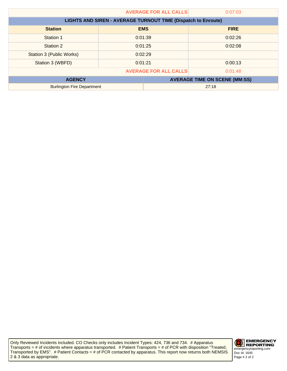| <b>AVERAGE FOR ALL CALLS</b><br>0:07:03 |         |                                                                      |                                      |
|-----------------------------------------|---------|----------------------------------------------------------------------|--------------------------------------|
|                                         |         |                                                                      |                                      |
|                                         |         | <b>LIGHTS AND SIREN - AVERAGE TURNOUT TIME (Dispatch to Enroute)</b> |                                      |
| <b>Station</b>                          |         | <b>EMS</b>                                                           | <b>FIRE</b>                          |
| Station 1                               | 0:01:39 |                                                                      | 0:02:26                              |
| Station 2                               | 0:01:25 |                                                                      | 0:02:08                              |
| Station 3 (Public Works)                | 0:02:29 |                                                                      |                                      |
| Station 3 (WBFD)                        | 0:01:21 |                                                                      | 0:00:13                              |
| <b>AVERAGE FOR ALL CALLS</b><br>0:01:48 |         |                                                                      |                                      |
| <b>AGENCY</b>                           |         |                                                                      | <b>AVERAGE TIME ON SCENE (MM:SS)</b> |
| <b>Burlington Fire Department</b>       |         |                                                                      | 27:18                                |

Only Reviewed Incidents included. CO Checks only includes Incident Types: 424, 736 and 734. # Apparatus Transports = # of incidents where apparatus transported. # Patient Transports = # of PCR with disposition "Treated, Transported by EMS". # Patient Contacts = # of PCR contacted by apparatus. This report now returns both NEMSIS 2 & 3 data as appropriate.

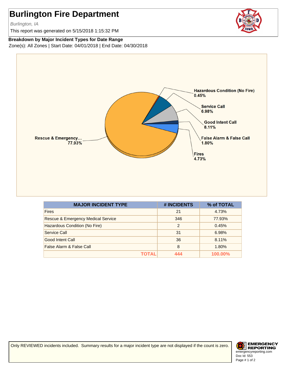Burlington, IA

This report was generated on 5/15/2018 1:15:32 PM

#### **Breakdown by Major Incident Types for Date Range**

Zone(s): All Zones | Start Date: 04/01/2018 | End Date: 04/30/2018



| <b>MAJOR INCIDENT TYPE</b>                    | # INCIDENTS   | % of TOTAL |
|-----------------------------------------------|---------------|------------|
| <b>Fires</b>                                  | 21            | 4.73%      |
| <b>Rescue &amp; Emergency Medical Service</b> | 346           | 77.93%     |
| Hazardous Condition (No Fire)                 | $\mathcal{P}$ | 0.45%      |
| Service Call                                  | 31            | 6.98%      |
| Good Intent Call                              | 36            | 8.11%      |
| False Alarm & False Call                      | 8             | 1.80%      |
| ΤΟΤΑΙ                                         | 444           | 100.00%    |

Only REVIEWED incidents included. Summary results for a major incident type are not displayed if the count is zero.



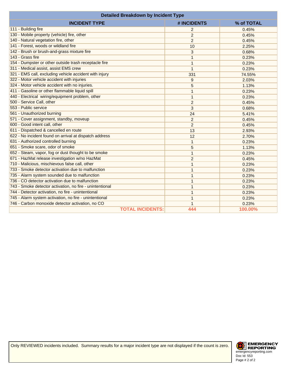| <b>Detailed Breakdown by Incident Type</b>               |                |            |
|----------------------------------------------------------|----------------|------------|
| <b>INCIDENT TYPE</b>                                     | # INCIDENTS    | % of TOTAL |
| 111 - Building fire                                      | $\overline{2}$ | 0.45%      |
| 130 - Mobile property (vehicle) fire, other              | $\overline{2}$ | 0.45%      |
| 140 - Natural vegetation fire, other                     | $\overline{2}$ | 0.45%      |
| 141 - Forest, woods or wildland fire                     | 10             | 2.25%      |
| 142 - Brush or brush-and-grass mixture fire              | 3              | 0.68%      |
| 143 - Grass fire                                         | 1              | 0.23%      |
| 154 - Dumpster or other outside trash receptacle fire    | 1              | 0.23%      |
| 311 - Medical assist, assist EMS crew                    | $\mathbf{1}$   | 0.23%      |
| 321 - EMS call, excluding vehicle accident with injury   | 331            | 74.55%     |
| 322 - Motor vehicle accident with injuries               | 9              | 2.03%      |
| 324 - Motor vehicle accident with no injuries.           | 5              | 1.13%      |
| 411 - Gasoline or other flammable liquid spill           | 1              | 0.23%      |
| 440 - Electrical wiring/equipment problem, other         | 1              | 0.23%      |
| 500 - Service Call, other                                | $\overline{2}$ | 0.45%      |
| 553 - Public service                                     | 3              | 0.68%      |
| 561 - Unauthorized burning                               | 24             | 5.41%      |
| 571 - Cover assignment, standby, moveup                  | 2              | 0.45%      |
| 600 - Good intent call, other                            | $\overline{2}$ | 0.45%      |
| 611 - Dispatched & cancelled en route                    | 13             | 2.93%      |
| 622 - No incident found on arrival at dispatch address   | 12             | 2.70%      |
| 631 - Authorized controlled burning                      | $\mathbf{1}$   | 0.23%      |
| 651 - Smoke scare, odor of smoke                         | 5              | 1.13%      |
| 652 - Steam, vapor, fog or dust thought to be smoke      | 1              | 0.23%      |
| 671 - HazMat release investigation w/no HazMat           | 2              | 0.45%      |
| 710 - Malicious, mischievous false call, other           | $\mathbf{1}$   | 0.23%      |
| 733 - Smoke detector activation due to malfunction       | 1              | 0.23%      |
| 735 - Alarm system sounded due to malfunction            | 1              | 0.23%      |
| 736 - CO detector activation due to malfunction          | 1              | 0.23%      |
| 743 - Smoke detector activation, no fire - unintentional | 1              | 0.23%      |
| 744 - Detector activation, no fire - unintentional       | 1              | 0.23%      |
| 745 - Alarm system activation, no fire - unintentional   | 1              | 0.23%      |
| 746 - Carbon monoxide detector activation, no CO         | 1              | 0.23%      |
| <b>TOTAL INCIDENTS:</b>                                  | 444            | 100.00%    |

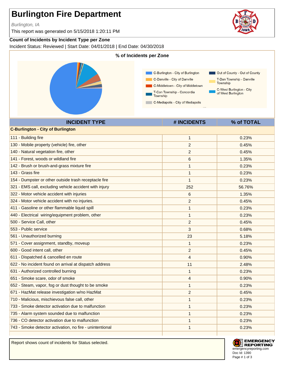Burlington, IA

This report was generated on 5/15/2018 1:20:11 PM

#### **Count of Incidents by Incident Type per Zone**

Incident Status: Reviewed | Start Date: 04/01/2018 | End Date: 04/30/2018



| <b>C-Burlington - City of Burlington</b>                 |                |        |
|----------------------------------------------------------|----------------|--------|
| 111 - Building fire                                      | $\mathbf{1}$   | 0.23%  |
| 130 - Mobile property (vehicle) fire, other              | 2              | 0.45%  |
| 140 - Natural vegetation fire, other                     | $\overline{2}$ | 0.45%  |
| 141 - Forest, woods or wildland fire                     | 6              | 1.35%  |
| 142 - Brush or brush-and-grass mixture fire              | $\mathbf{1}$   | 0.23%  |
| 143 - Grass fire                                         | $\mathbf{1}$   | 0.23%  |
| 154 - Dumpster or other outside trash receptacle fire    | $\mathbf{1}$   | 0.23%  |
| 321 - EMS call, excluding vehicle accident with injury   | 252            | 56.76% |
| 322 - Motor vehicle accident with injuries               | 6              | 1.35%  |
| 324 - Motor vehicle accident with no injuries.           | $\overline{c}$ | 0.45%  |
| 411 - Gasoline or other flammable liquid spill           | $\mathbf{1}$   | 0.23%  |
| 440 - Electrical wiring/equipment problem, other         | $\mathbf{1}$   | 0.23%  |
| 500 - Service Call, other                                | 2              | 0.45%  |
| 553 - Public service                                     | 3              | 0.68%  |
| 561 - Unauthorized burning                               | 23             | 5.18%  |
| 571 - Cover assignment, standby, moveup                  | $\mathbf{1}$   | 0.23%  |
| 600 - Good intent call, other                            | 2              | 0.45%  |
| 611 - Dispatched & cancelled en route                    | $\overline{4}$ | 0.90%  |
| 622 - No incident found on arrival at dispatch address   | 11             | 2.48%  |
| 631 - Authorized controlled burning                      | $\mathbf{1}$   | 0.23%  |
| 651 - Smoke scare, odor of smoke                         | 4              | 0.90%  |
| 652 - Steam, vapor, fog or dust thought to be smoke      | $\mathbf{1}$   | 0.23%  |
| 671 - HazMat release investigation w/no HazMat           | $\overline{c}$ | 0.45%  |
| 710 - Malicious, mischievous false call, other           | $\mathbf{1}$   | 0.23%  |
| 733 - Smoke detector activation due to malfunction       | $\mathbf{1}$   | 0.23%  |
| 735 - Alarm system sounded due to malfunction            | $\mathbf{1}$   | 0.23%  |
| 736 - CO detector activation due to malfunction          | $\mathbf{1}$   | 0.23%  |
| 743 - Smoke detector activation, no fire - unintentional | $\mathbf{1}$   | 0.23%  |
|                                                          |                |        |

Report shows count of incidents for Status selected.



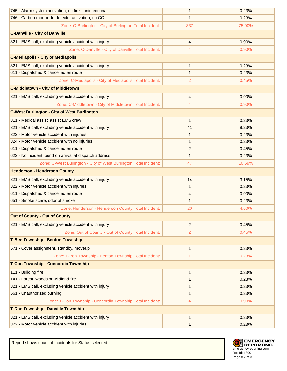| 745 - Alarm system activation, no fire - unintentional            | 1              | 0.23%  |
|-------------------------------------------------------------------|----------------|--------|
| 746 - Carbon monoxide detector activation, no CO                  | 1              | 0.23%  |
| Zone: C-Burlington - City of Burlington Total Incident:           | 337            | 75.90% |
| <b>C-Danville - City of Danville</b>                              |                |        |
| 321 - EMS call, excluding vehicle accident with injury            | 4              | 0.90%  |
| Zone: C-Danville - City of Danville Total Incident:               | 4              | 0.90%  |
| <b>C-Mediapolis - City of Mediapolis</b>                          |                |        |
| 321 - EMS call, excluding vehicle accident with injury            | $\mathbf{1}$   | 0.23%  |
| 611 - Dispatched & cancelled en route                             | 1              | 0.23%  |
| Zone: C-Mediapolis - City of Mediapolis Total Incident:           | 2              | 0.45%  |
| <b>C-Middletown - City of Middletown</b>                          |                |        |
| 321 - EMS call, excluding vehicle accident with injury            | $\overline{4}$ | 0.90%  |
| Zone: C-Middletown - City of Middletown Total Incident:           | 4              | 0.90%  |
| <b>C-West Burlington - City of West Burlington</b>                |                |        |
| 311 - Medical assist, assist EMS crew                             | 1              | 0.23%  |
| 321 - EMS call, excluding vehicle accident with injury            | 41             | 9.23%  |
| 322 - Motor vehicle accident with injuries                        | 1              | 0.23%  |
| 324 - Motor vehicle accident with no injuries.                    | 1              | 0.23%  |
| 611 - Dispatched & cancelled en route                             | $\overline{2}$ | 0.45%  |
| 622 - No incident found on arrival at dispatch address            | 1              | 0.23%  |
| Zone: C-West Burlington - City of West Burlington Total Incident: | 47             | 10.59% |
| <b>Henderson - Henderson County</b>                               |                |        |
| 321 - EMS call, excluding vehicle accident with injury            | 14             | 3.15%  |
| 322 - Motor vehicle accident with injuries                        | 1              | 0.23%  |
| 611 - Dispatched & cancelled en route                             | 4              | 0.90%  |
| 651 - Smoke scare, odor of smoke                                  | 1              | 0.23%  |
| Zone: Henderson - Henderson County Total Incident:                | 20             | 4.50%  |
| <b>Out of County - Out of County</b>                              |                |        |
| 321 - EMS call, excluding vehicle accident with injury            | 2              | 0.45%  |
| Zone: Out of County - Out of County Total Incident:               | $\overline{2}$ | 0.45%  |
| <b>T-Ben Township - Benton Township</b>                           |                |        |
| 571 - Cover assignment, standby, moveup                           | 1              | 0.23%  |
| Zone: T-Ben Township - Benton Township Total Incident:            |                | 0.23%  |
| T-Con Township - Concordia Township                               |                |        |
| 111 - Building fire                                               | 1              | 0.23%  |
| 141 - Forest, woods or wildland fire                              | 1              | 0.23%  |
| 321 - EMS call, excluding vehicle accident with injury            | 1              | 0.23%  |
| 561 - Unauthorized burning                                        | 1              | 0.23%  |
| Zone: T-Con Township - Concordia Township Total Incident:         | 4              | 0.90%  |
| T-Dan Township - Danville Township                                |                |        |
| 321 - EMS call, excluding vehicle accident with injury            | 1              | 0.23%  |
| 322 - Motor vehicle accident with injuries                        | 1              | 0.23%  |

Report shows count of incidents for Status selected.

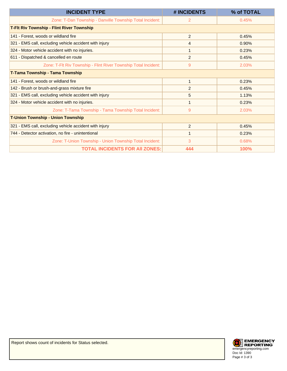| <b>INCIDENT TYPE</b>                                            | # INCIDENTS    | % of TOTAL |
|-----------------------------------------------------------------|----------------|------------|
| Zone: T-Dan Township - Danville Township Total Incident:        | 2              | 0.45%      |
| <b>T-Fit Riv Township - Flint River Township</b>                |                |            |
| 141 - Forest, woods or wildland fire                            | $\overline{2}$ | 0.45%      |
| 321 - EMS call, excluding vehicle accident with injury          | 4              | 0.90%      |
| 324 - Motor vehicle accident with no injuries.                  | $\mathbf{1}$   | 0.23%      |
| 611 - Dispatched & cancelled en route                           | 2              | 0.45%      |
| Zone: T-Flt Riv Township - Flint River Township Total Incident: | 9              | 2.03%      |
| T-Tama Township - Tama Township                                 |                |            |
| 141 - Forest, woods or wildland fire                            | $\mathbf{1}$   | 0.23%      |
| 142 - Brush or brush-and-grass mixture fire                     | 2              | 0.45%      |
| 321 - EMS call, excluding vehicle accident with injury          | 5              | 1.13%      |
| 324 - Motor vehicle accident with no injuries.                  |                | 0.23%      |
| Zone: T-Tama Township - Tama Township Total Incident:           | 9              | 2.03%      |
| <b>T-Union Township - Union Township</b>                        |                |            |
| 321 - EMS call, excluding vehicle accident with injury          | $\overline{2}$ | 0.45%      |
| 744 - Detector activation, no fire - unintentional              |                | 0.23%      |
| Zone: T-Union Township - Union Township Total Incident:         | 3              | 0.68%      |
| <b>TOTAL INCIDENTS FOR AII ZONES:</b>                           | 444            | 100%       |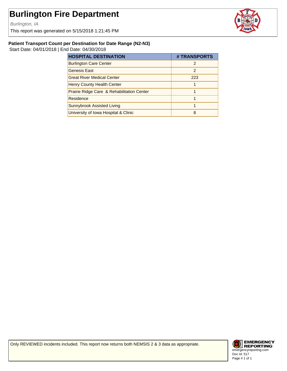Burlington, IA

This report was generated on 5/15/2018 1:21:45 PM



#### **Patient Transport Count per Destination for Date Range (N2-N3)**

Start Date: 04/01/2018 | End Date: 04/30/2018

| <b>HOSPITAL DESTINATION</b>                | # TRANSPORTS   |
|--------------------------------------------|----------------|
| <b>Burlington Care Center</b>              | 2              |
| <b>Genesis East</b>                        | $\overline{2}$ |
| <b>Great River Medical Center</b>          | 223            |
| Henry County Health Center                 |                |
| Prairie Ridge Care & Rehabilitation Center |                |
| Residence                                  |                |
| Sunnybrook Assisted Living                 |                |
| University of Iowa Hospital & Clinic       | 8              |

Only REVIEWED incidents included. This report now returns both NEMSIS 2 & 3 data as appropriate.

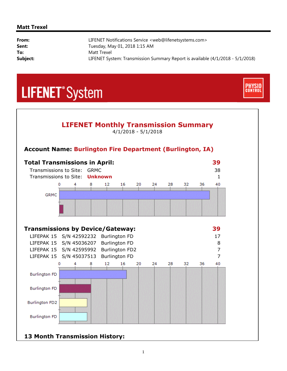#### **Matt Trexel**

| From:    | LIFENET Notifications Service <web@lifenetsystems.com></web@lifenetsystems.com> |
|----------|---------------------------------------------------------------------------------|
| Sent:    | Tuesday, May 01, 2018 1:15 AM                                                   |
| To:      | Matt Trexel                                                                     |
| Subject: | LIFENET System: Transmission Summary Report is available (4/1/2018 - 5/1/2018)  |

**CONTROL** 

## **LIFENET**<sup>\*</sup>System